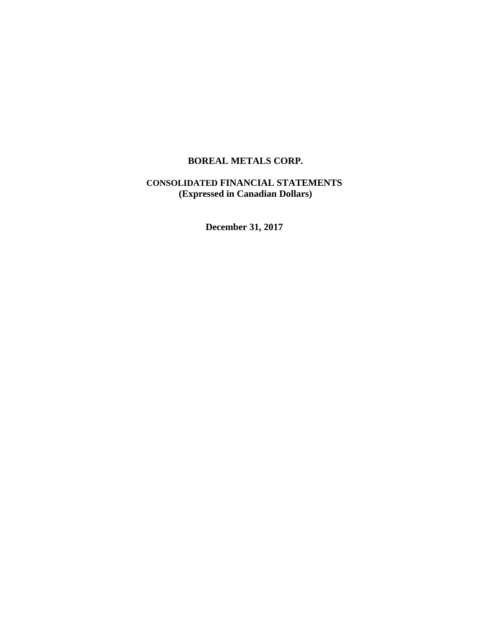# **BOREAL METALS CORP.**

# **CONSOLIDATED FINANCIAL STATEMENTS (Expressed in Canadian Dollars)**

**December 31, 2017**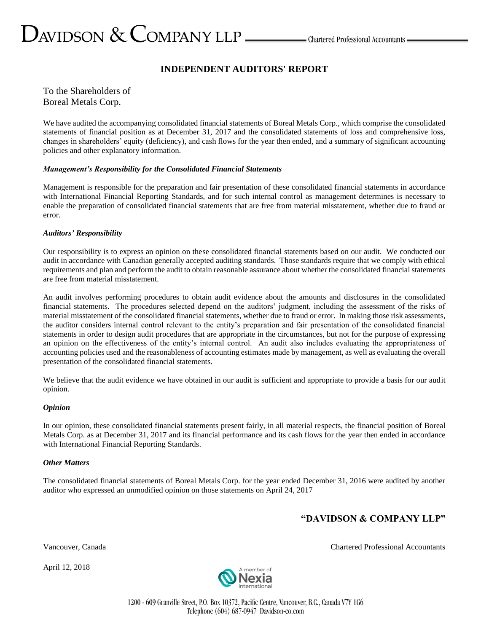# $D_{\text{AVIDSON}} \&$   $\text{COMPANY LLP}$   $\text{MLP}$   $\text{Maxtered Professional Accountants}$

# **INDEPENDENT AUDITORS' REPORT**

To the Shareholders of Boreal Metals Corp.

We have audited the accompanying consolidated financial statements of Boreal Metals Corp., which comprise the consolidated statements of financial position as at December 31, 2017 and the consolidated statements of loss and comprehensive loss, changes in shareholders' equity (deficiency), and cash flows for the year then ended, and a summary of significant accounting policies and other explanatory information.

# *Management's Responsibility for the Consolidated Financial Statements*

Management is responsible for the preparation and fair presentation of these consolidated financial statements in accordance with International Financial Reporting Standards, and for such internal control as management determines is necessary to enable the preparation of consolidated financial statements that are free from material misstatement, whether due to fraud or error.

# *Auditors' Responsibility*

Our responsibility is to express an opinion on these consolidated financial statements based on our audit. We conducted our audit in accordance with Canadian generally accepted auditing standards. Those standards require that we comply with ethical requirements and plan and perform the audit to obtain reasonable assurance about whether the consolidated financial statements are free from material misstatement.

An audit involves performing procedures to obtain audit evidence about the amounts and disclosures in the consolidated financial statements. The procedures selected depend on the auditors' judgment, including the assessment of the risks of material misstatement of the consolidated financial statements, whether due to fraud or error. In making those risk assessments, the auditor considers internal control relevant to the entity's preparation and fair presentation of the consolidated financial statements in order to design audit procedures that are appropriate in the circumstances, but not for the purpose of expressing an opinion on the effectiveness of the entity's internal control. An audit also includes evaluating the appropriateness of accounting policies used and the reasonableness of accounting estimates made by management, as well as evaluating the overall presentation of the consolidated financial statements.

We believe that the audit evidence we have obtained in our audit is sufficient and appropriate to provide a basis for our audit opinion.

#### *Opinion*

In our opinion, these consolidated financial statements present fairly, in all material respects, the financial position of Boreal Metals Corp. as at December 31, 2017 and its financial performance and its cash flows for the year then ended in accordance with International Financial Reporting Standards.

# *Other Matters*

The consolidated financial statements of Boreal Metals Corp. for the year ended December 31, 2016 were audited by another auditor who expressed an unmodified opinion on those statements on April 24, 2017

# **"DAVIDSON & COMPANY LLP"**

April 12, 2018



1200 - 609 Granville Street, P.O. Box 10372, Pacific Centre, Vancouver, B.C., Canada V7Y 1G6 Telephone (604) 687-0947 Davidson-co.com

Vancouver, Canada Chartered Professional Accountants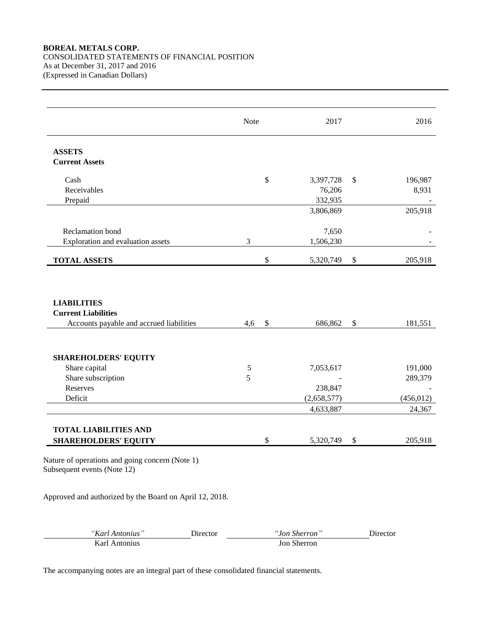# **BOREAL METALS CORP.**

 $\overline{\phantom{0}}$ 

CONSOLIDATED STATEMENTS OF FINANCIAL POSITION As at December 31, 2017 and 2016 (Expressed in Canadian Dollars)

|                                                                                | <b>Note</b>          | 2017        | 2016          |
|--------------------------------------------------------------------------------|----------------------|-------------|---------------|
| <b>ASSETS</b>                                                                  |                      |             |               |
| <b>Current Assets</b>                                                          |                      |             |               |
| Cash                                                                           | \$                   | 3,397,728   | \$<br>196,987 |
| Receivables                                                                    |                      | 76,206      | 8,931         |
| Prepaid                                                                        |                      | 332,935     |               |
|                                                                                |                      | 3,806,869   | 205,918       |
| Reclamation bond                                                               |                      | 7,650       |               |
| Exploration and evaluation assets                                              | $\mathfrak{Z}$       | 1,506,230   |               |
| <b>TOTAL ASSETS</b>                                                            | $\$$                 | 5,320,749   | \$<br>205,918 |
| <b>Current Liabilities</b><br>Accounts payable and accrued liabilities         | $\mathcal{S}$<br>4,6 | 686,862     | \$<br>181,551 |
|                                                                                |                      |             |               |
| <b>SHAREHOLDERS' EQUITY</b>                                                    |                      |             |               |
| Share capital                                                                  | 5                    | 7,053,617   | 191,000       |
| Share subscription                                                             | 5                    |             | 289,379       |
| Reserves                                                                       |                      | 238,847     |               |
| Deficit                                                                        |                      | (2,658,577) | (456, 012)    |
|                                                                                |                      | 4,633,887   | 24,367        |
| <b>TOTAL LIABILITIES AND</b>                                                   |                      |             |               |
| <b>SHAREHOLDERS' EQUITY</b>                                                    | \$                   | 5,320,749   | \$<br>205,918 |
| Nature of operations and going concern (Note 1)<br>Subsequent events (Note 12) |                      |             |               |

| "Karl Antonius"  | Jirector | Jon Sherron                | Jirector. |
|------------------|----------|----------------------------|-----------|
| Karl<br>Antonius |          | $J$ On $\Gamma$<br>Sherron |           |

The accompanying notes are an integral part of these consolidated financial statements.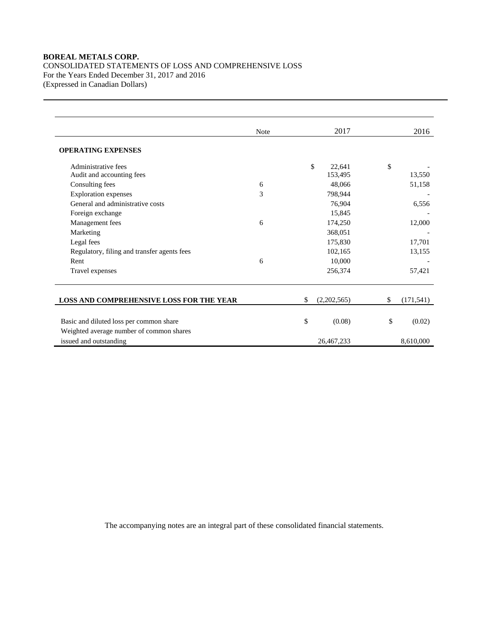# **BOREAL METALS CORP.** CONSOLIDATED STATEMENTS OF LOSS AND COMPREHENSIVE LOSS For the Years Ended December 31, 2017 and 2016 (Expressed in Canadian Dollars)

|                                                 | <b>Note</b> | 2017              | 2016             |
|-------------------------------------------------|-------------|-------------------|------------------|
| <b>OPERATING EXPENSES</b>                       |             |                   |                  |
| Administrative fees                             |             | \$<br>22,641      | \$               |
| Audit and accounting fees                       |             | 153,495           | 13,550           |
| Consulting fees                                 | 6           | 48,066            | 51,158           |
| <b>Exploration</b> expenses                     | 3           | 798,944           |                  |
| General and administrative costs                |             | 76,904            | 6,556            |
| Foreign exchange                                |             | 15,845            |                  |
| Management fees                                 | 6           | 174,250           | 12,000           |
| Marketing                                       |             | 368,051           |                  |
| Legal fees                                      |             | 175,830           | 17,701           |
| Regulatory, filing and transfer agents fees     |             | 102,165           | 13,155           |
| Rent                                            | 6           | 10,000            |                  |
| Travel expenses                                 |             | 256,374           | 57,421           |
| <b>LOSS AND COMPREHENSIVE LOSS FOR THE YEAR</b> |             | \$<br>(2,202,565) | \$<br>(171, 541) |
| Basic and diluted loss per common share         |             | \$<br>(0.08)      | \$<br>(0.02)     |
| Weighted average number of common shares        |             |                   |                  |
| issued and outstanding                          |             | 26,467,233        | 8,610,000        |

The accompanying notes are an integral part of these consolidated financial statements.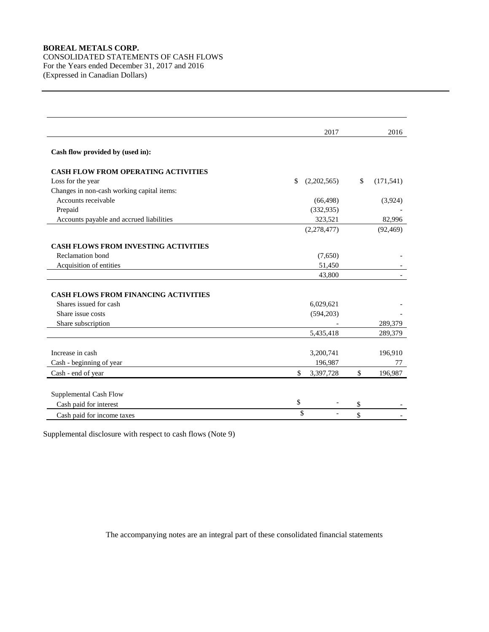# **BOREAL METALS CORP.**

CONSOLIDATED STATEMENTS OF CASH FLOWS For the Years ended December 31, 2017 and 2016 (Expressed in Canadian Dollars)

|                                             | 2017                           | 2016             |
|---------------------------------------------|--------------------------------|------------------|
| Cash flow provided by (used in):            |                                |                  |
| <b>CASH FLOW FROM OPERATING ACTIVITIES</b>  |                                |                  |
| Loss for the year                           | \$<br>(2,202,565)              | \$<br>(171, 541) |
| Changes in non-cash working capital items:  |                                |                  |
| Accounts receivable                         | (66, 498)                      | (3,924)          |
| Prepaid                                     | (332, 935)                     |                  |
| Accounts payable and accrued liabilities    | 323,521                        | 82,996           |
|                                             | (2,278,477)                    | (92, 469)        |
| <b>CASH FLOWS FROM INVESTING ACTIVITIES</b> |                                |                  |
| Reclamation bond                            | (7,650)                        |                  |
| Acquisition of entities                     | 51,450                         |                  |
|                                             | 43,800                         |                  |
| <b>CASH FLOWS FROM FINANCING ACTIVITIES</b> |                                |                  |
| Shares issued for cash                      | 6,029,621                      |                  |
| Share issue costs                           | (594,203)                      |                  |
| Share subscription                          |                                | 289,379          |
|                                             | 5,435,418                      | 289,379          |
| Increase in cash                            |                                |                  |
|                                             | 3,200,741                      | 196,910<br>77    |
| Cash - beginning of year                    | 196,987                        |                  |
| Cash - end of year                          | \$<br>3,397,728                | \$<br>196,987    |
| Supplemental Cash Flow                      |                                |                  |
| Cash paid for interest                      | \$<br>$\overline{\phantom{a}}$ | \$               |
| Cash paid for income taxes                  | \$                             | \$               |

Supplemental disclosure with respect to cash flows (Note 9)

The accompanying notes are an integral part of these consolidated financial statements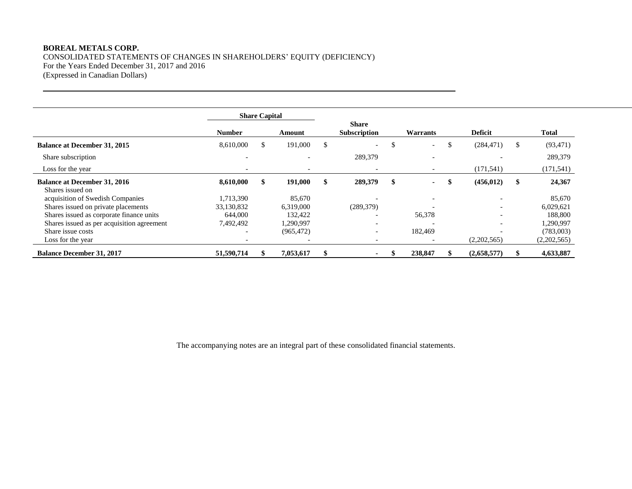# **BOREAL METALS CORP.** CONSOLIDATED STATEMENTS OF CHANGES IN SHAREHOLDERS' EQUITY (DEFICIENCY) For the Years Ended December 31, 2017 and 2016 (Expressed in Canadian Dollars)

|                                            |                          | <b>Share Capital</b> |            |                                     |    |                          |                          |     |              |
|--------------------------------------------|--------------------------|----------------------|------------|-------------------------------------|----|--------------------------|--------------------------|-----|--------------|
|                                            | <b>Number</b>            |                      | Amount     | <b>Share</b><br><b>Subscription</b> |    | <b>Warrants</b>          | <b>Deficit</b>           |     | <b>Total</b> |
| <b>Balance at December 31, 2015</b>        | 8,610,000                | S                    | 191,000    | \$<br>$\overline{\phantom{0}}$      | S  | $\overline{\phantom{a}}$ | (284, 471)               | \$. | (93, 471)    |
| Share subscription                         | $\overline{\phantom{0}}$ |                      |            | 289,379                             |    |                          |                          |     | 289,379      |
| Loss for the year                          | $\overline{\phantom{0}}$ |                      |            | $\overline{\phantom{0}}$            |    | $\overline{\phantom{a}}$ | (171, 541)               |     | (171, 541)   |
| <b>Balance at December 31, 2016</b>        | 8,610,000                |                      | 191,000    | \$<br>289,379                       | \$ | ۰.                       | (456, 012)               | \$  | 24,367       |
| Shares issued on                           |                          |                      |            |                                     |    |                          |                          |     |              |
| acquisition of Swedish Companies           | 1,713,390                |                      | 85,670     |                                     |    |                          | -                        |     | 85,670       |
| Shares issued on private placements        | 33,130,832               |                      | 6,319,000  | (289, 379)                          |    |                          |                          |     | 6,029,621    |
| Shares issued as corporate finance units   | 644,000                  |                      | 132.422    | $\overline{\phantom{a}}$            |    | 56,378                   | $\overline{\phantom{a}}$ |     | 188,800      |
| Shares issued as per acquisition agreement | 7,492,492                |                      | 1,290,997  |                                     |    |                          |                          |     | 1,290,997    |
| Share issue costs                          |                          |                      | (965, 472) | $\overline{\phantom{0}}$            |    | 182,469                  |                          |     | (783,003)    |
| Loss for the year                          | $\overline{\phantom{0}}$ |                      |            | $\overline{\phantom{0}}$            |    |                          | (2,202,565)              |     | (2,202,565)  |
| <b>Balance December 31, 2017</b>           | 51,590,714               |                      | 7,053,617  | $\sim$                              |    | 238,847                  | (2,658,577)              |     | 4,633,887    |

The accompanying notes are an integral part of these consolidated financial statements.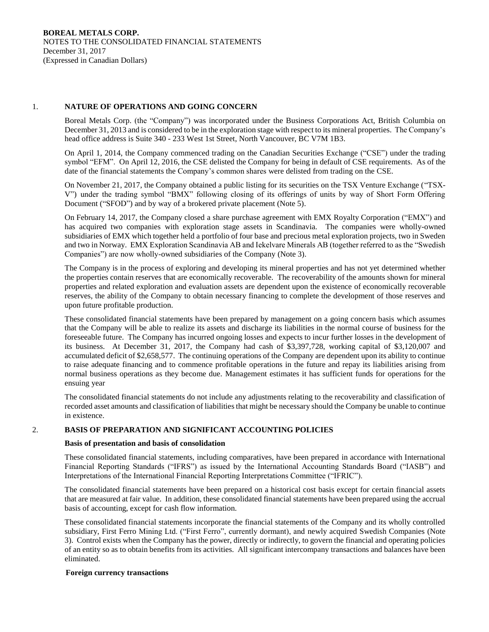# 1. **NATURE OF OPERATIONS AND GOING CONCERN**

Boreal Metals Corp. (the "Company") was incorporated under the Business Corporations Act, British Columbia on December 31, 2013 and is considered to be in the exploration stage with respect to its mineral properties. The Company's head office address is Suite 340 - 233 West 1st Street, North Vancouver, BC V7M 1B3.

On April 1, 2014, the Company commenced trading on the Canadian Securities Exchange ("CSE") under the trading symbol "EFM". On April 12, 2016, the CSE delisted the Company for being in default of CSE requirements. As of the date of the financial statements the Company's common shares were delisted from trading on the CSE.

On November 21, 2017, the Company obtained a public listing for its securities on the TSX Venture Exchange ("TSX-V") under the trading symbol "BMX" following closing of its offerings of units by way of Short Form Offering Document ("SFOD") and by way of a brokered private placement (Note 5).

On February 14, 2017, the Company closed a share purchase agreement with EMX Royalty Corporation ("EMX") and has acquired two companies with exploration stage assets in Scandinavia. The companies were wholly-owned subsidiaries of EMX which together held a portfolio of four base and precious metal exploration projects, two in Sweden and two in Norway. EMX Exploration Scandinavia AB and Iekelvare Minerals AB (together referred to as the "Swedish Companies") are now wholly-owned subsidiaries of the Company (Note 3).

The Company is in the process of exploring and developing its mineral properties and has not yet determined whether the properties contain reserves that are economically recoverable. The recoverability of the amounts shown for mineral properties and related exploration and evaluation assets are dependent upon the existence of economically recoverable reserves, the ability of the Company to obtain necessary financing to complete the development of those reserves and upon future profitable production.

These consolidated financial statements have been prepared by management on a going concern basis which assumes that the Company will be able to realize its assets and discharge its liabilities in the normal course of business for the foreseeable future. The Company has incurred ongoing losses and expects to incur further losses in the development of its business. At December 31, 2017, the Company had cash of \$3,397,728, working capital of \$3,120,007 and accumulated deficit of \$2,658,577. The continuing operations of the Company are dependent upon its ability to continue to raise adequate financing and to commence profitable operations in the future and repay its liabilities arising from normal business operations as they become due. Management estimates it has sufficient funds for operations for the ensuing year

The consolidated financial statements do not include any adjustments relating to the recoverability and classification of recorded asset amounts and classification of liabilities that might be necessary should the Company be unable to continue in existence.

# 2. **BASIS OF PREPARATION AND SIGNIFICANT ACCOUNTING POLICIES**

#### **Basis of presentation and basis of consolidation**

These consolidated financial statements, including comparatives, have been prepared in accordance with International Financial Reporting Standards ("IFRS") as issued by the International Accounting Standards Board ("IASB") and Interpretations of the International Financial Reporting Interpretations Committee ("IFRIC").

The consolidated financial statements have been prepared on a historical cost basis except for certain financial assets that are measured at fair value. In addition, these consolidated financial statements have been prepared using the accrual basis of accounting, except for cash flow information.

These consolidated financial statements incorporate the financial statements of the Company and its wholly controlled subsidiary, First Ferro Mining Ltd. ("First Ferro", currently dormant), and newly acquired Swedish Companies (Note 3). Control exists when the Company has the power, directly or indirectly, to govern the financial and operating policies of an entity so as to obtain benefits from its activities. All significant intercompany transactions and balances have been eliminated.

#### **Foreign currency transactions**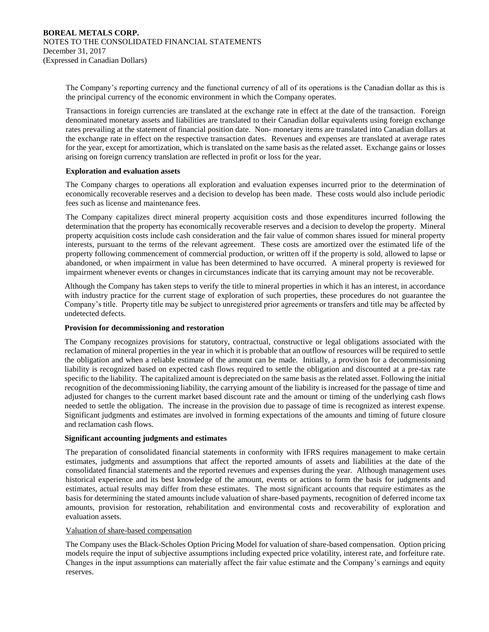The Company's reporting currency and the functional currency of all of its operations is the Canadian dollar as this is the principal currency of the economic environment in which the Company operates.

Transactions in foreign currencies are translated at the exchange rate in effect at the date of the transaction. Foreign denominated monetary assets and liabilities are translated to their Canadian dollar equivalents using foreign exchange rates prevailing at the statement of financial position date. Non- monetary items are translated into Canadian dollars at the exchange rate in effect on the respective transaction dates. Revenues and expenses are translated at average rates for the year, except for amortization, which is translated on the same basis as the related asset. Exchange gains or losses arising on foreign currency translation are reflected in profit or loss for the year.

# **Exploration and evaluation assets**

The Company charges to operations all exploration and evaluation expenses incurred prior to the determination of economically recoverable reserves and a decision to develop has been made. These costs would also include periodic fees such as license and maintenance fees.

The Company capitalizes direct mineral property acquisition costs and those expenditures incurred following the determination that the property has economically recoverable reserves and a decision to develop the property. Mineral property acquisition costs include cash consideration and the fair value of common shares issued for mineral property interests, pursuant to the terms of the relevant agreement. These costs are amortized over the estimated life of the property following commencement of commercial production, or written off if the property is sold, allowed to lapse or abandoned, or when impairment in value has been determined to have occurred. A mineral property is reviewed for impairment whenever events or changes in circumstances indicate that its carrying amount may not be recoverable.

Although the Company has taken steps to verify the title to mineral properties in which it has an interest, in accordance with industry practice for the current stage of exploration of such properties, these procedures do not guarantee the Company's title. Property title may be subject to unregistered prior agreements or transfers and title may be affected by undetected defects.

# **Provision for decommissioning and restoration**

The Company recognizes provisions for statutory, contractual, constructive or legal obligations associated with the reclamation of mineral properties in the year in which it is probable that an outflow of resources will be required to settle the obligation and when a reliable estimate of the amount can be made. Initially, a provision for a decommissioning liability is recognized based on expected cash flows required to settle the obligation and discounted at a pre-tax rate specific to the liability. The capitalized amount is depreciated on the same basis as the related asset. Following the initial recognition of the decommissioning liability, the carrying amount of the liability is increased for the passage of time and adjusted for changes to the current market based discount rate and the amount or timing of the underlying cash flows needed to settle the obligation. The increase in the provision due to passage of time is recognized as interest expense. Significant judgments and estimates are involved in forming expectations of the amounts and timing of future closure and reclamation cash flows.

# **Significant accounting judgments and estimates**

The preparation of consolidated financial statements in conformity with IFRS requires management to make certain estimates, judgments and assumptions that affect the reported amounts of assets and liabilities at the date of the consolidated financial statements and the reported revenues and expenses during the year. Although management uses historical experience and its best knowledge of the amount, events or actions to form the basis for judgments and estimates, actual results may differ from these estimates. The most significant accounts that require estimates as the basis for determining the stated amounts include valuation of share-based payments, recognition of deferred income tax amounts, provision for restoration, rehabilitation and environmental costs and recoverability of exploration and evaluation assets.

# Valuation of share-based compensation

The Company uses the Black-Scholes Option Pricing Model for valuation of share-based compensation. Option pricing models require the input of subjective assumptions including expected price volatility, interest rate, and forfeiture rate. Changes in the input assumptions can materially affect the fair value estimate and the Company's earnings and equity reserves.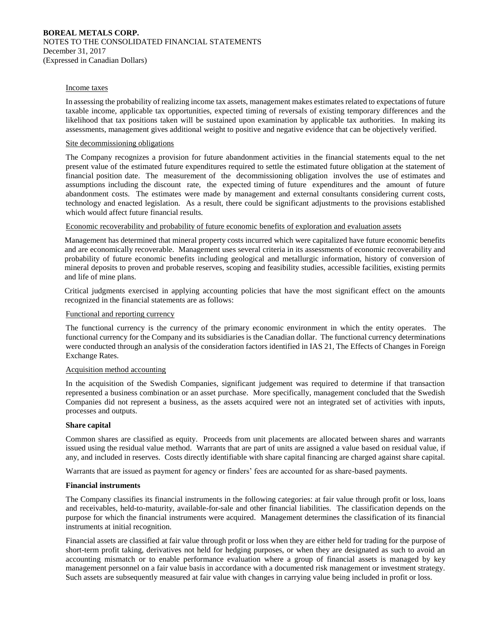#### Income taxes

In assessing the probability of realizing income tax assets, management makes estimates related to expectations of future taxable income, applicable tax opportunities, expected timing of reversals of existing temporary differences and the likelihood that tax positions taken will be sustained upon examination by applicable tax authorities. In making its assessments, management gives additional weight to positive and negative evidence that can be objectively verified.

#### Site decommissioning obligations

The Company recognizes a provision for future abandonment activities in the financial statements equal to the net present value of the estimated future expenditures required to settle the estimated future obligation at the statement of financial position date. The measurement of the decommissioning obligation involves the use of estimates and assumptions including the discount rate, the expected timing of future expenditures and the amount of future abandonment costs. The estimates were made by management and external consultants considering current costs, technology and enacted legislation. As a result, there could be significant adjustments to the provisions established which would affect future financial results.

#### Economic recoverability and probability of future economic benefits of exploration and evaluation assets

Management has determined that mineral property costs incurred which were capitalized have future economic benefits and are economically recoverable. Management uses several criteria in its assessments of economic recoverability and probability of future economic benefits including geological and metallurgic information, history of conversion of mineral deposits to proven and probable reserves, scoping and feasibility studies, accessible facilities, existing permits and life of mine plans.

Critical judgments exercised in applying accounting policies that have the most significant effect on the amounts recognized in the financial statements are as follows:

#### Functional and reporting currency

The functional currency is the currency of the primary economic environment in which the entity operates. The functional currency for the Company and its subsidiaries is the Canadian dollar. The functional currency determinations were conducted through an analysis of the consideration factors identified in IAS 21, The Effects of Changes in Foreign Exchange Rates.

#### Acquisition method accounting

In the acquisition of the Swedish Companies, significant judgement was required to determine if that transaction represented a business combination or an asset purchase. More specifically, management concluded that the Swedish Companies did not represent a business, as the assets acquired were not an integrated set of activities with inputs, processes and outputs.

#### **Share capital**

Common shares are classified as equity. Proceeds from unit placements are allocated between shares and warrants issued using the residual value method. Warrants that are part of units are assigned a value based on residual value, if any, and included in reserves. Costs directly identifiable with share capital financing are charged against share capital.

Warrants that are issued as payment for agency or finders' fees are accounted for as share-based payments.

#### **Financial instruments**

The Company classifies its financial instruments in the following categories: at fair value through profit or loss, loans and receivables, held-to-maturity, available-for-sale and other financial liabilities. The classification depends on the purpose for which the financial instruments were acquired. Management determines the classification of its financial instruments at initial recognition.

Financial assets are classified at fair value through profit or loss when they are either held for trading for the purpose of short-term profit taking, derivatives not held for hedging purposes, or when they are designated as such to avoid an accounting mismatch or to enable performance evaluation where a group of financial assets is managed by key management personnel on a fair value basis in accordance with a documented risk management or investment strategy. Such assets are subsequently measured at fair value with changes in carrying value being included in profit or loss.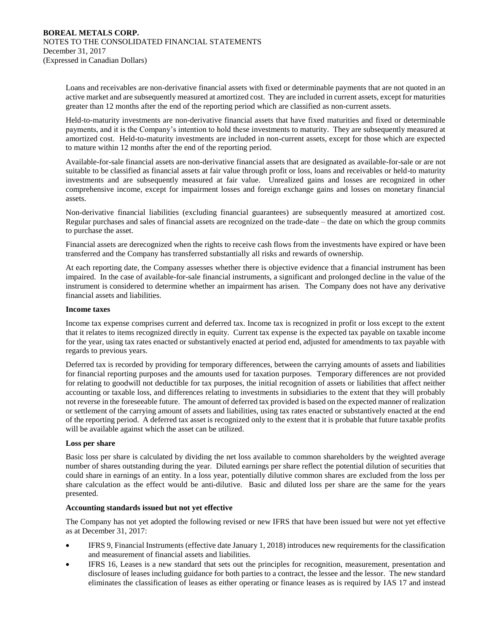Loans and receivables are non-derivative financial assets with fixed or determinable payments that are not quoted in an active market and are subsequently measured at amortized cost. They are included in current assets, except for maturities greater than 12 months after the end of the reporting period which are classified as non-current assets.

Held-to-maturity investments are non-derivative financial assets that have fixed maturities and fixed or determinable payments, and it is the Company's intention to hold these investments to maturity. They are subsequently measured at amortized cost. Held-to-maturity investments are included in non-current assets, except for those which are expected to mature within 12 months after the end of the reporting period.

Available-for-sale financial assets are non-derivative financial assets that are designated as available-for-sale or are not suitable to be classified as financial assets at fair value through profit or loss, loans and receivables or held-to maturity investments and are subsequently measured at fair value. Unrealized gains and losses are recognized in other comprehensive income, except for impairment losses and foreign exchange gains and losses on monetary financial assets.

Non-derivative financial liabilities (excluding financial guarantees) are subsequently measured at amortized cost. Regular purchases and sales of financial assets are recognized on the trade-date – the date on which the group commits to purchase the asset.

Financial assets are derecognized when the rights to receive cash flows from the investments have expired or have been transferred and the Company has transferred substantially all risks and rewards of ownership.

At each reporting date, the Company assesses whether there is objective evidence that a financial instrument has been impaired. In the case of available-for-sale financial instruments, a significant and prolonged decline in the value of the instrument is considered to determine whether an impairment has arisen. The Company does not have any derivative financial assets and liabilities.

# **Income taxes**

Income tax expense comprises current and deferred tax. Income tax is recognized in profit or loss except to the extent that it relates to items recognized directly in equity. Current tax expense is the expected tax payable on taxable income for the year, using tax rates enacted or substantively enacted at period end, adjusted for amendments to tax payable with regards to previous years.

Deferred tax is recorded by providing for temporary differences, between the carrying amounts of assets and liabilities for financial reporting purposes and the amounts used for taxation purposes. Temporary differences are not provided for relating to goodwill not deductible for tax purposes, the initial recognition of assets or liabilities that affect neither accounting or taxable loss, and differences relating to investments in subsidiaries to the extent that they will probably not reverse in the foreseeable future. The amount of deferred tax provided is based on the expected manner of realization or settlement of the carrying amount of assets and liabilities, using tax rates enacted or substantively enacted at the end of the reporting period. A deferred tax asset is recognized only to the extent that it is probable that future taxable profits will be available against which the asset can be utilized.

#### **Loss per share**

Basic loss per share is calculated by dividing the net loss available to common shareholders by the weighted average number of shares outstanding during the year. Diluted earnings per share reflect the potential dilution of securities that could share in earnings of an entity. In a loss year, potentially dilutive common shares are excluded from the loss per share calculation as the effect would be anti-dilutive. Basic and diluted loss per share are the same for the years presented.

#### **Accounting standards issued but not yet effective**

The Company has not yet adopted the following revised or new IFRS that have been issued but were not yet effective as at December 31, 2017:

- IFRS 9, Financial Instruments (effective date January 1, 2018) introduces new requirements for the classification and measurement of financial assets and liabilities.
- IFRS 16, Leases is a new standard that sets out the principles for recognition, measurement, presentation and disclosure of leases including guidance for both parties to a contract, the lessee and the lessor. The new standard eliminates the classification of leases as either operating or finance leases as is required by IAS 17 and instead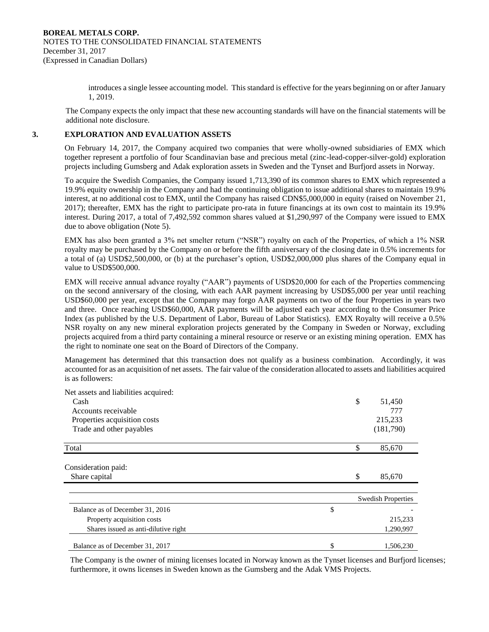introduces a single lessee accounting model. This standard is effective for the years beginning on or after January 1, 2019.

The Company expects the only impact that these new accounting standards will have on the financial statements will be additional note disclosure.

# **3. EXPLORATION AND EVALUATION ASSETS**

Net assets and liabilities acquired:

On February 14, 2017, the Company acquired two companies that were wholly-owned subsidiaries of EMX which together represent a portfolio of four Scandinavian base and precious metal (zinc-lead-copper-silver-gold) exploration projects including Gumsberg and Adak exploration assets in Sweden and the Tynset and Burfjord assets in Norway.

To acquire the Swedish Companies, the Company issued 1,713,390 of its common shares to EMX which represented a 19.9% equity ownership in the Company and had the continuing obligation to issue additional shares to maintain 19.9% interest, at no additional cost to EMX, until the Company has raised CDN\$5,000,000 in equity (raised on November 21, 2017); thereafter, EMX has the right to participate pro-rata in future financings at its own cost to maintain its 19.9% interest. During 2017, a total of 7,492,592 common shares valued at \$1,290,997 of the Company were issued to EMX due to above obligation (Note 5).

EMX has also been granted a 3% net smelter return ("NSR") royalty on each of the Properties, of which a 1% NSR royalty may be purchased by the Company on or before the fifth anniversary of the closing date in 0.5% increments for a total of (a) USD\$2,500,000, or (b) at the purchaser's option, USD\$2,000,000 plus shares of the Company equal in value to USD\$500,000.

EMX will receive annual advance royalty ("AAR") payments of USD\$20,000 for each of the Properties commencing on the second anniversary of the closing, with each AAR payment increasing by USD\$5,000 per year until reaching USD\$60,000 per year, except that the Company may forgo AAR payments on two of the four Properties in years two and three. Once reaching USD\$60,000, AAR payments will be adjusted each year according to the Consumer Price Index (as published by the U.S. Department of Labor, Bureau of Labor Statistics). EMX Royalty will receive a 0.5% NSR royalty on any new mineral exploration projects generated by the Company in Sweden or Norway, excluding projects acquired from a third party containing a mineral resource or reserve or an existing mining operation. EMX has the right to nominate one seat on the Board of Directors of the Company.

Management has determined that this transaction does not qualify as a business combination. Accordingly, it was accounted for as an acquisition of net assets. The fair value of the consideration allocated to assets and liabilities acquired is as followers:

| Net assets and habilities acquired:  |    |                           |
|--------------------------------------|----|---------------------------|
| Cash                                 | \$ | 51,450                    |
| Accounts receivable                  |    | 777                       |
| Properties acquisition costs         |    | 215,233                   |
| Trade and other payables             |    | (181,790)                 |
| Total                                | \$ | 85,670                    |
|                                      |    |                           |
| Consideration paid:                  |    |                           |
| Share capital                        | \$ | 85,670                    |
|                                      |    | <b>Swedish Properties</b> |
| Balance as of December 31, 2016      | \$ |                           |
| Property acquisition costs           |    | 215,233                   |
| Shares issued as anti-dilutive right |    | 1,290,997                 |
| Balance as of December 31, 2017      | \$ | 1,506,230                 |

The Company is the owner of mining licenses located in Norway known as the Tynset licenses and Burfjord licenses; furthermore, it owns licenses in Sweden known as the Gumsberg and the Adak VMS Projects.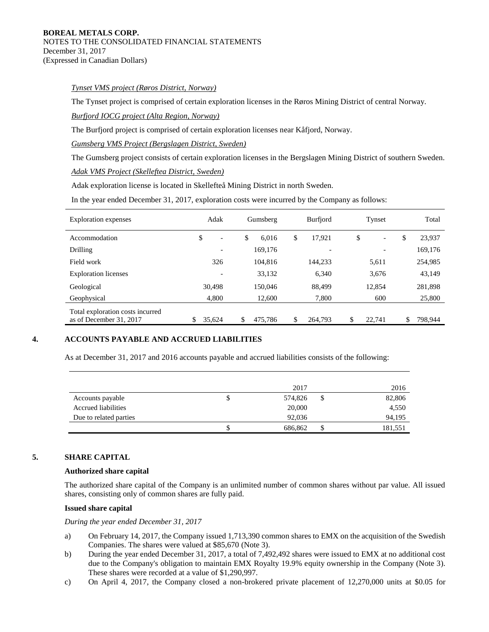#### **BOREAL METALS CORP.** NOTES TO THE CONSOLIDATED FINANCIAL STATEMENTS December 31, 2017 (Expressed in Canadian Dollars)

# *Tynset VMS project (Røros District, Norway)*

The Tynset project is comprised of certain exploration licenses in the Røros Mining District of central Norway.

*Burfjord IOCG project (Alta Region, Norway)*

The Burfjord project is comprised of certain exploration licenses near Kåfjord, Norway.

*Gumsberg VMS Project (Bergslagen District, Sweden)*

The Gumsberg project consists of certain exploration licenses in the Bergslagen Mining District of southern Sweden.

*Adak VMS Project (Skelleftea District, Sweden)*

Adak exploration license is located in Skellefteå Mining District in north Sweden.

In the year ended December 31, 2017, exploration costs were incurred by the Company as follows:

| <b>Exploration</b> expenses                                 | Adak                           | Gumsberg      | <b>Burfjord</b> | Tynset                         | Total         |
|-------------------------------------------------------------|--------------------------------|---------------|-----------------|--------------------------------|---------------|
| Accommodation                                               | \$<br>$\overline{\phantom{a}}$ | \$<br>6,016   | \$<br>17,921    | \$<br>$\overline{\phantom{0}}$ | 23,937<br>S   |
| Drilling                                                    | $\overline{\phantom{a}}$       | 169,176       |                 |                                | 169,176       |
| Field work                                                  | 326                            | 104.816       | 144.233         | 5,611                          | 254,985       |
| <b>Exploration</b> licenses                                 | $\overline{\phantom{0}}$       | 33,132        | 6,340           | 3,676                          | 43,149        |
| Geological                                                  | 30.498                         | 150.046       | 88,499          | 12,854                         | 281,898       |
| Geophysical                                                 | 4,800                          | 12,600        | 7,800           | 600                            | 25,800        |
| Total exploration costs incurred<br>as of December 31, 2017 | \$<br>35,624                   | 475,786<br>\$ | S<br>264,793    | \$<br>22,741                   | \$<br>798,944 |

# **4. ACCOUNTS PAYABLE AND ACCRUED LIABILITIES**

As at December 31, 2017 and 2016 accounts payable and accrued liabilities consists of the following:

|                            |   | 2017    |    | 2016    |
|----------------------------|---|---------|----|---------|
| Accounts payable           | Ъ | 574,826 | \$ | 82,806  |
| <b>Accrued liabilities</b> |   | 20,000  |    | 4,550   |
| Due to related parties     |   | 92,036  |    | 94,195  |
|                            | S | 686,862 | S  | 181,551 |

# **5. SHARE CAPITAL**

#### **Authorized share capital**

The authorized share capital of the Company is an unlimited number of common shares without par value. All issued shares, consisting only of common shares are fully paid.

#### **Issued share capital**

*During the year ended December 31, 2017*

- a) On February 14, 2017, the Company issued 1,713,390 common shares to EMX on the acquisition of the Swedish Companies. The shares were valued at \$85,670 (Note 3).
- b) During the year ended December 31, 2017, a total of 7,492,492 shares were issued to EMX at no additional cost due to the Company's obligation to maintain EMX Royalty 19.9% equity ownership in the Company (Note 3). These shares were recorded at a value of \$1,290,997.
- c) On April 4, 2017, the Company closed a non-brokered private placement of 12,270,000 units at \$0.05 for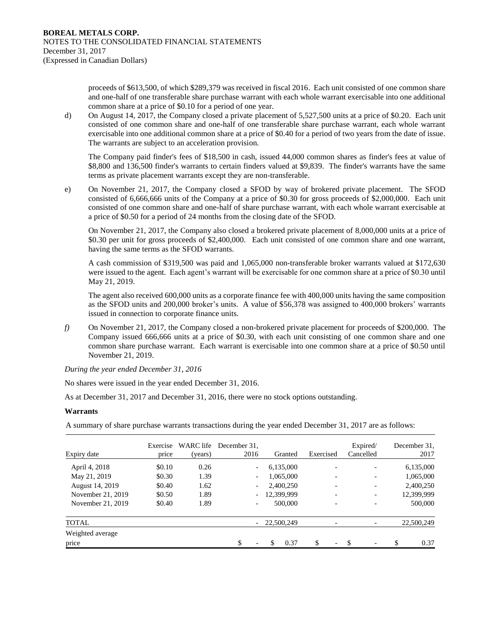proceeds of \$613,500, of which \$289,379 was received in fiscal 2016. Each unit consisted of one common share and one-half of one transferable share purchase warrant with each whole warrant exercisable into one additional common share at a price of \$0.10 for a period of one year.

d) On August 14, 2017, the Company closed a private placement of 5,527,500 units at a price of \$0.20. Each unit consisted of one common share and one-half of one transferable share purchase warrant, each whole warrant exercisable into one additional common share at a price of \$0.40 for a period of two years from the date of issue. The warrants are subject to an acceleration provision.

The Company paid finder's fees of \$18,500 in cash, issued 44,000 common shares as finder's fees at value of \$8,800 and 136,500 finder's warrants to certain finders valued at \$9,839. The finder's warrants have the same terms as private placement warrants except they are non-transferable.

e) On November 21, 2017, the Company closed a SFOD by way of brokered private placement. The SFOD consisted of 6,666,666 units of the Company at a price of \$0.30 for gross proceeds of \$2,000,000. Each unit consisted of one common share and one-half of share purchase warrant, with each whole warrant exercisable at a price of \$0.50 for a period of 24 months from the closing date of the SFOD.

On November 21, 2017, the Company also closed a brokered private placement of 8,000,000 units at a price of \$0.30 per unit for gross proceeds of \$2,400,000. Each unit consisted of one common share and one warrant, having the same terms as the SFOD warrants.

A cash commission of \$319,500 was paid and 1,065,000 non-transferable broker warrants valued at \$172,630 were issued to the agent. Each agent's warrant will be exercisable for one common share at a price of \$0.30 until May 21, 2019.

The agent also received 600,000 units as a corporate finance fee with 400,000 units having the same composition as the SFOD units and 200,000 broker's units. A value of \$56,378 was assigned to 400,000 brokers' warrants issued in connection to corporate finance units.

*f)* On November 21, 2017, the Company closed a non-brokered private placement for proceeds of \$200,000. The Company issued 666,666 units at a price of \$0.30, with each unit consisting of one common share and one common share purchase warrant. Each warrant is exercisable into one common share at a price of \$0.50 until November 21, 2019.

*During the year ended December 31, 2016*

No shares were issued in the year ended December 31, 2016.

As at December 31, 2017 and December 31, 2016, there were no stock options outstanding.

#### **Warrants**

A summary of share purchase warrants transactions during the year ended December 31, 2017 are as follows:

| Expiry date       | Exercise<br>price | WARC life<br>(years) | December 31.<br>2016     | Granted    | Exercised                      | Expired/<br>Cancelled    | December 31,<br>2017 |
|-------------------|-------------------|----------------------|--------------------------|------------|--------------------------------|--------------------------|----------------------|
| April 4, 2018     | \$0.10            | 0.26                 | $\overline{\phantom{a}}$ | 6,135,000  | $\overline{\phantom{0}}$       | ٠                        | 6,135,000            |
| May 21, 2019      | \$0.30            | 1.39                 | $\overline{\phantom{a}}$ | 1,065,000  | $\overline{\phantom{0}}$       | $\overline{\phantom{a}}$ | 1,065,000            |
| August 14, 2019   | \$0.40            | 1.62                 | $\overline{\phantom{a}}$ | 2,400,250  | $\overline{\phantom{0}}$       | $\overline{\phantom{a}}$ | 2,400,250            |
| November 21, 2019 | \$0.50            | 1.89                 | $\overline{\phantom{a}}$ | 12,399,999 | $\overline{\phantom{0}}$       | $\overline{\phantom{a}}$ | 12,399,999           |
| November 21, 2019 | \$0.40            | 1.89                 | $\overline{\phantom{a}}$ | 500,000    | $\overline{a}$                 | $\overline{\phantom{a}}$ | 500,000              |
| TOTAL             |                   |                      | $\blacksquare$           | 22,500,249 | $\overline{\phantom{a}}$       | $\overline{\phantom{a}}$ | 22,500,249           |
| Weighted average  |                   |                      |                          |            |                                |                          |                      |
| price             |                   |                      | $\overline{\phantom{0}}$ | 0.37       | \$<br>$\overline{\phantom{a}}$ | $\overline{\phantom{0}}$ | S<br>0.37            |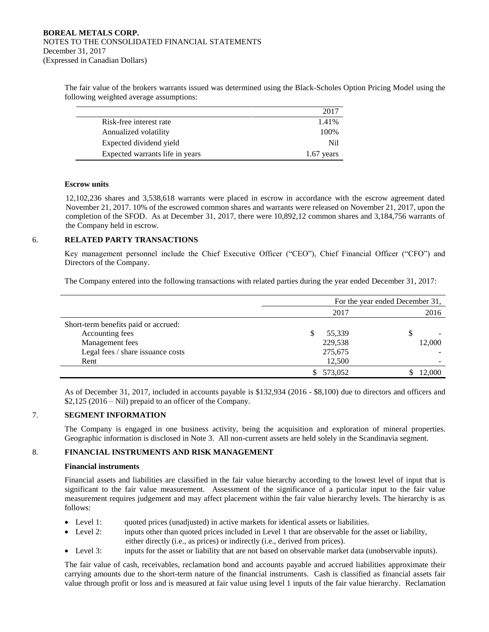|                                 | 2017         |
|---------------------------------|--------------|
| Risk-free interest rate         | 1.41%        |
| Annualized volatility           | 100%         |
| Expected dividend yield         | Nil          |
| Expected warrants life in years | $1.67$ years |

The fair value of the brokers warrants issued was determined using the Black-Scholes Option Pricing Model using the following weighted average assumptions:

# **Escrow units**

12,102,236 shares and 3,538,618 warrants were placed in escrow in accordance with the escrow agreement dated November 21, 2017. 10% of the escrowed common shares and warrants were released on November 21, 2017, upon the completion of the SFOD. As at December 31, 2017, there were 10,892,12 common shares and 3,184,756 warrants of the Company held in escrow.

# 6. **RELATED PARTY TRANSACTIONS**

Key management personnel include the Chief Executive Officer ("CEO"), Chief Financial Officer ("CFO") and Directors of the Company.

The Company entered into the following transactions with related parties during the year ended December 31, 2017:

|                                      | For the year ended December 31, |        |  |
|--------------------------------------|---------------------------------|--------|--|
|                                      | 2017                            | 2016   |  |
| Short-term benefits paid or accrued: |                                 |        |  |
| Accounting fees                      | 55,339                          | S      |  |
| Management fees                      | 229,538                         | 12,000 |  |
| Legal fees / share issuance costs    | 275,675                         |        |  |
| Rent                                 | 12,500                          |        |  |
|                                      | 573,052                         | 12,000 |  |

As of December 31, 2017, included in accounts payable is \$132,934 (2016 - \$8,100) due to directors and officers and \$2,125 (2016 – Nil) prepaid to an officer of the Company.

# 7. **SEGMENT INFORMATION**

The Company is engaged in one business activity, being the acquisition and exploration of mineral properties. Geographic information is disclosed in Note 3. All non-current assets are held solely in the Scandinavia segment.

# 8. **FINANCIAL INSTRUMENTS AND RISK MANAGEMENT**

#### **Financial instruments**

Financial assets and liabilities are classified in the fair value hierarchy according to the lowest level of input that is significant to the fair value measurement. Assessment of the significance of a particular input to the fair value measurement requires judgement and may affect placement within the fair value hierarchy levels. The hierarchy is as follows:

- Level 1: quoted prices (unadjusted) in active markets for identical assets or liabilities.
- Level 2: inputs other than quoted prices included in Level 1 that are observable for the asset or liability,
- either directly (i.e., as prices) or indirectly (i.e., derived from prices).
- Level 3: inputs for the asset or liability that are not based on observable market data (unobservable inputs).

The fair value of cash, receivables, reclamation bond and accounts payable and accrued liabilities approximate their carrying amounts due to the short-term nature of the financial instruments. Cash is classified as financial assets fair value through profit or loss and is measured at fair value using level 1 inputs of the fair value hierarchy. Reclamation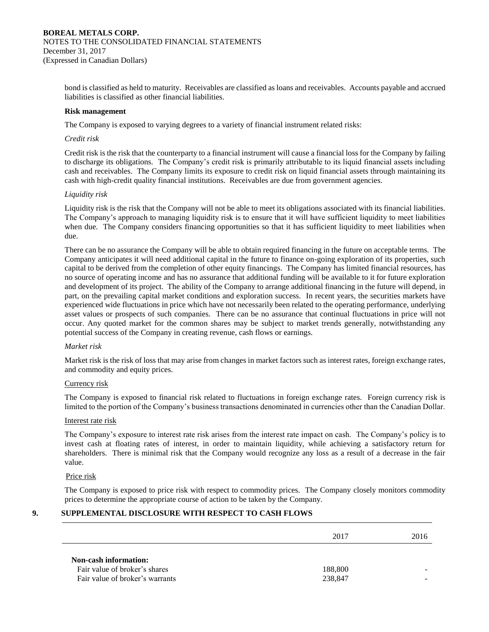bond is classified as held to maturity. Receivables are classified as loans and receivables. Accounts payable and accrued liabilities is classified as other financial liabilities.

#### **Risk management**

The Company is exposed to varying degrees to a variety of financial instrument related risks:

#### *Credit risk*

Credit risk is the risk that the counterparty to a financial instrument will cause a financial loss for the Company by failing to discharge its obligations. The Company's credit risk is primarily attributable to its liquid financial assets including cash and receivables. The Company limits its exposure to credit risk on liquid financial assets through maintaining its cash with high-credit quality financial institutions. Receivables are due from government agencies.

#### *Liquidity risk*

Liquidity risk is the risk that the Company will not be able to meet its obligations associated with its financial liabilities. The Company's approach to managing liquidity risk is to ensure that it will have sufficient liquidity to meet liabilities when due. The Company considers financing opportunities so that it has sufficient liquidity to meet liabilities when due.

There can be no assurance the Company will be able to obtain required financing in the future on acceptable terms. The Company anticipates it will need additional capital in the future to finance on-going exploration of its properties, such capital to be derived from the completion of other equity financings. The Company has limited financial resources, has no source of operating income and has no assurance that additional funding will be available to it for future exploration and development of its project. The ability of the Company to arrange additional financing in the future will depend, in part, on the prevailing capital market conditions and exploration success. In recent years, the securities markets have experienced wide fluctuations in price which have not necessarily been related to the operating performance, underlying asset values or prospects of such companies. There can be no assurance that continual fluctuations in price will not occur. Any quoted market for the common shares may be subject to market trends generally, notwithstanding any potential success of the Company in creating revenue, cash flows or earnings.

#### *Market risk*

Market risk is the risk of loss that may arise from changes in market factors such as interest rates, foreign exchange rates, and commodity and equity prices.

#### Currency risk

The Company is exposed to financial risk related to fluctuations in foreign exchange rates. Foreign currency risk is limited to the portion of the Company's business transactions denominated in currencies other than the Canadian Dollar.

#### Interest rate risk

The Company's exposure to interest rate risk arises from the interest rate impact on cash. The Company's policy is to invest cash at floating rates of interest, in order to maintain liquidity, while achieving a satisfactory return for shareholders. There is minimal risk that the Company would recognize any loss as a result of a decrease in the fair value.

#### Price risk

The Company is exposed to price risk with respect to commodity prices. The Company closely monitors commodity prices to determine the appropriate course of action to be taken by the Company.

# **9. SUPPLEMENTAL DISCLOSURE WITH RESPECT TO CASH FLOWS**

|                                 | 2017    | 2016                     |
|---------------------------------|---------|--------------------------|
| <b>Non-cash information:</b>    |         |                          |
| Fair value of broker's shares   | 188,800 | $\overline{\phantom{a}}$ |
| Fair value of broker's warrants | 238,847 | $\sim$                   |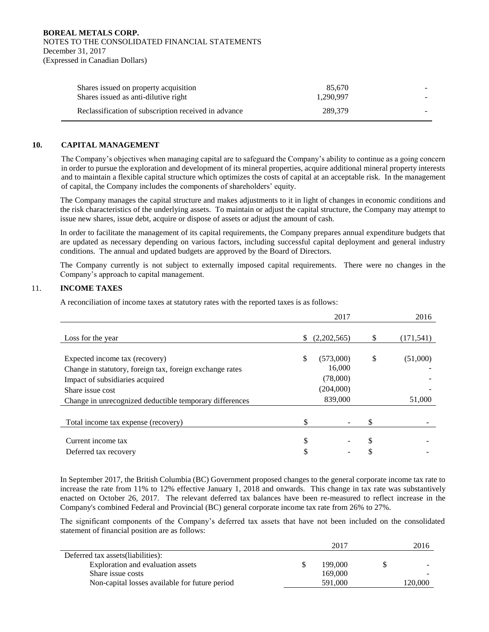## **BOREAL METALS CORP.** NOTES TO THE CONSOLIDATED FINANCIAL STATEMENTS December 31, 2017 (Expressed in Canadian Dollars)

| Shares issued on property acquisition<br>Shares issued as anti-dilutive right | 85.670<br>1.290.997 | $\overline{\phantom{0}}$ |
|-------------------------------------------------------------------------------|---------------------|--------------------------|
| Reclassification of subscription received in advance                          | 289,379             | -                        |

# **10. CAPITAL MANAGEMENT**

The Company's objectives when managing capital are to safeguard the Company's ability to continue as a going concern in order to pursue the exploration and development of its mineral properties, acquire additional mineral property interests and to maintain a flexible capital structure which optimizes the costs of capital at an acceptable risk. In the management of capital, the Company includes the components of shareholders' equity.

The Company manages the capital structure and makes adjustments to it in light of changes in economic conditions and the risk characteristics of the underlying assets. To maintain or adjust the capital structure, the Company may attempt to issue new shares, issue debt, acquire or dispose of assets or adjust the amount of cash.

In order to facilitate the management of its capital requirements, the Company prepares annual expenditure budgets that are updated as necessary depending on various factors, including successful capital deployment and general industry conditions. The annual and updated budgets are approved by the Board of Directors.

The Company currently is not subject to externally imposed capital requirements. There were no changes in the Company's approach to capital management.

# 11. **INCOME TAXES**

A reconciliation of income taxes at statutory rates with the reported taxes is as follows:

|                                                                                                                                                   |                                                          | 2017        |    | 2016       |  |  |
|---------------------------------------------------------------------------------------------------------------------------------------------------|----------------------------------------------------------|-------------|----|------------|--|--|
| Loss for the year                                                                                                                                 | S                                                        | (2,202,565) | S  | (171, 541) |  |  |
| Expected income tax (recovery)<br>Change in statutory, foreign tax, foreign exchange rates<br>Impact of subsidiaries acquired<br>Share issue cost | \$<br>\$<br>(573,000)<br>16,000<br>(78,000)<br>(204,000) |             |    | (51,000)   |  |  |
| Change in unrecognized deductible temporary differences                                                                                           | 839,000                                                  |             |    | 51,000     |  |  |
| Total income tax expense (recovery)                                                                                                               | \$                                                       |             | \$ |            |  |  |
| Current income tax                                                                                                                                | \$                                                       |             | S  |            |  |  |
| Deferred tax recovery                                                                                                                             |                                                          |             |    |            |  |  |

In September 2017, the British Columbia (BC) Government proposed changes to the general corporate income tax rate to increase the rate from 11% to 12% effective January 1, 2018 and onwards. This change in tax rate was substantively enacted on October 26, 2017. The relevant deferred tax balances have been re-measured to reflect increase in the Company's combined Federal and Provincial (BC) general corporate income tax rate from 26% to 27%.

The significant components of the Company's deferred tax assets that have not been included on the consolidated statement of financial position are as follows:

|                                                | 2017    | 2016    |
|------------------------------------------------|---------|---------|
| Deferred tax assets (liabilities):             |         |         |
| Exploration and evaluation assets              | 199,000 |         |
| Share issue costs                              | 169,000 |         |
| Non-capital losses available for future period | 591,000 | 120.000 |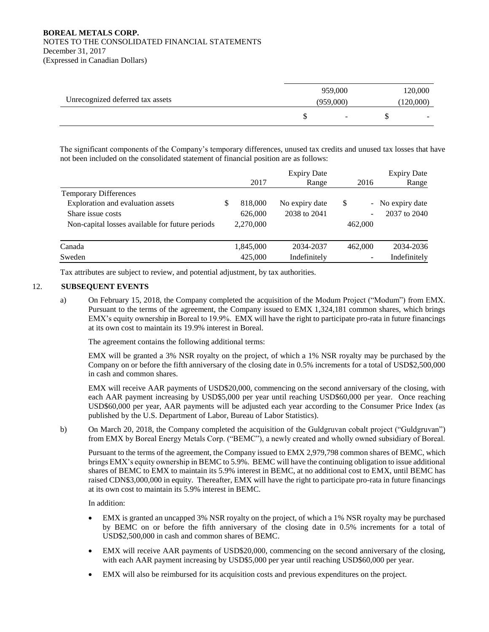## **BOREAL METALS CORP.** NOTES TO THE CONSOLIDATED FINANCIAL STATEMENTS December 31, 2017 (Expressed in Canadian Dollars)

|                                  |           | 959,000 |  | 120,000   |  |  |
|----------------------------------|-----------|---------|--|-----------|--|--|
| Unrecognized deferred tax assets | (959,000) |         |  | (120,000) |  |  |
|                                  |           | $\sim$  |  | $\sim$    |  |  |

The significant components of the Company's temporary differences, unused tax credits and unused tax losses that have not been included on the consolidated statement of financial position are as follows:

|                                                 |               | <b>Expiry Date</b> |         | <b>Expiry Date</b> |
|-------------------------------------------------|---------------|--------------------|---------|--------------------|
|                                                 | 2017          | Range              | 2016    | Range              |
| <b>Temporary Differences</b>                    |               |                    |         |                    |
| Exploration and evaluation assets               | \$<br>818,000 | No expiry date     | \$      | - No expiry date   |
| Share issue costs                               | 626,000       | 2038 to 2041       |         | 2037 to 2040       |
| Non-capital losses available for future periods | 2,270,000     |                    | 462,000 |                    |
| Canada                                          | 1,845,000     | 2034-2037          | 462,000 | 2034-2036          |
| Sweden                                          | 425,000       | Indefinitely       |         | Indefinitely       |

Tax attributes are subject to review, and potential adjustment, by tax authorities.

# 12. **SUBSEQUENT EVENTS**

a) On February 15, 2018, the Company completed the acquisition of the Modum Project ("Modum") from EMX. Pursuant to the terms of the agreement, the Company issued to EMX 1,324,181 common shares, which brings EMX's equity ownership in Boreal to 19.9%. EMX will have the right to participate pro-rata in future financings at its own cost to maintain its 19.9% interest in Boreal.

The agreement contains the following additional terms:

EMX will be granted a 3% NSR royalty on the project, of which a 1% NSR royalty may be purchased by the Company on or before the fifth anniversary of the closing date in 0.5% increments for a total of USD\$2,500,000 in cash and common shares.

EMX will receive AAR payments of USD\$20,000, commencing on the second anniversary of the closing, with each AAR payment increasing by USD\$5,000 per year until reaching USD\$60,000 per year. Once reaching USD\$60,000 per year, AAR payments will be adjusted each year according to the Consumer Price Index (as published by the U.S. Department of Labor, Bureau of Labor Statistics).

b) On March 20, 2018, the Company completed the acquisition of the Guldgruvan cobalt project ("Guldgruvan") from EMX by Boreal Energy Metals Corp. ("BEMC"), a newly created and wholly owned subsidiary of Boreal.

Pursuant to the terms of the agreement, the Company issued to EMX 2,979,798 common shares of BEMC, which brings EMX's equity ownership in BEMC to 5.9%. BEMC will have the continuing obligation to issue additional shares of BEMC to EMX to maintain its 5.9% interest in BEMC, at no additional cost to EMX, until BEMC has raised CDN\$3,000,000 in equity. Thereafter, EMX will have the right to participate pro-rata in future financings at its own cost to maintain its 5.9% interest in BEMC.

In addition:

- EMX is granted an uncapped 3% NSR royalty on the project, of which a 1% NSR royalty may be purchased by BEMC on or before the fifth anniversary of the closing date in 0.5% increments for a total of USD\$2,500,000 in cash and common shares of BEMC.
- EMX will receive AAR payments of USD\$20,000, commencing on the second anniversary of the closing, with each AAR payment increasing by USD\$5,000 per year until reaching USD\$60,000 per year.
- EMX will also be reimbursed for its acquisition costs and previous expenditures on the project.